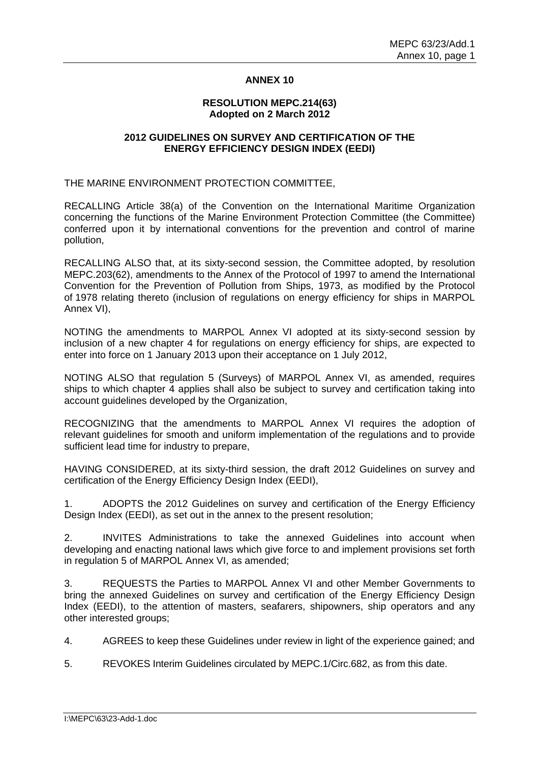#### **ANNEX 10**

#### **RESOLUTION MEPC.214(63) Adopted on 2 March 2012**

#### **2012 GUIDELINES ON SURVEY AND CERTIFICATION OF THE ENERGY EFFICIENCY DESIGN INDEX (EEDI)**

THE MARINE ENVIRONMENT PROTECTION COMMITTEE,

RECALLING Article 38(a) of the Convention on the International Maritime Organization concerning the functions of the Marine Environment Protection Committee (the Committee) conferred upon it by international conventions for the prevention and control of marine pollution,

RECALLING ALSO that, at its sixty-second session, the Committee adopted, by resolution MEPC.203(62), amendments to the Annex of the Protocol of 1997 to amend the International Convention for the Prevention of Pollution from Ships, 1973, as modified by the Protocol of 1978 relating thereto (inclusion of regulations on energy efficiency for ships in MARPOL Annex VI),

NOTING the amendments to MARPOL Annex VI adopted at its sixty-second session by inclusion of a new chapter 4 for regulations on energy efficiency for ships, are expected to enter into force on 1 January 2013 upon their acceptance on 1 July 2012,

NOTING ALSO that regulation 5 (Surveys) of MARPOL Annex VI, as amended, requires ships to which chapter 4 applies shall also be subject to survey and certification taking into account guidelines developed by the Organization,

RECOGNIZING that the amendments to MARPOL Annex VI requires the adoption of relevant guidelines for smooth and uniform implementation of the regulations and to provide sufficient lead time for industry to prepare,

HAVING CONSIDERED, at its sixty-third session, the draft 2012 Guidelines on survey and certification of the Energy Efficiency Design Index (EEDI),

1. ADOPTS the 2012 Guidelines on survey and certification of the Energy Efficiency Design Index (EEDI), as set out in the annex to the present resolution;

2. INVITES Administrations to take the annexed Guidelines into account when developing and enacting national laws which give force to and implement provisions set forth in regulation 5 of MARPOL Annex VI, as amended;

3. REQUESTS the Parties to MARPOL Annex VI and other Member Governments to bring the annexed Guidelines on survey and certification of the Energy Efficiency Design Index (EEDI), to the attention of masters, seafarers, shipowners, ship operators and any other interested groups;

4. AGREES to keep these Guidelines under review in light of the experience gained; and

5. REVOKES Interim Guidelines circulated by MEPC.1/Circ.682, as from this date.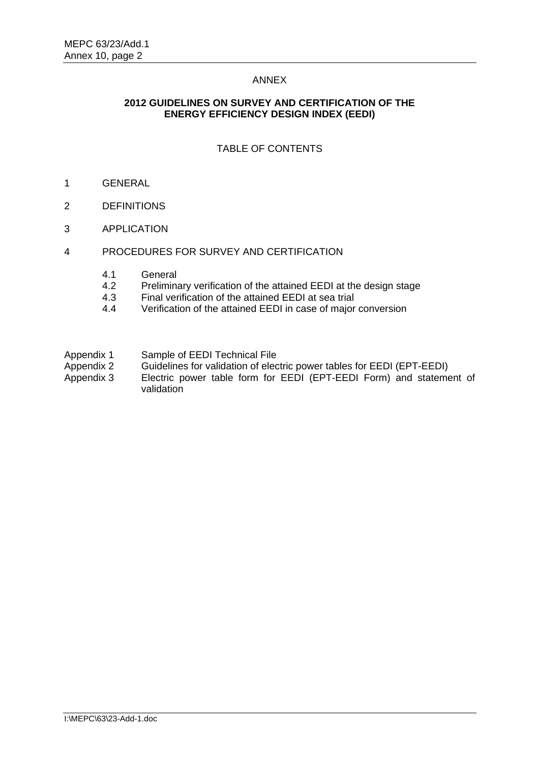#### ANNEX

#### **2012 GUIDELINES ON SURVEY AND CERTIFICATION OF THE ENERGY EFFICIENCY DESIGN INDEX (EEDI)**

## TABLE OF CONTENTS

- 1 GENERAL
- 2 DEFINITIONS
- 3 APPLICATION
- 4 PROCEDURES FOR SURVEY AND CERTIFICATION
	- 4.1 General
	- 4.2 Preliminary verification of the attained EEDI at the design stage<br>4.3 Final verification of the attained EEDI at sea trial
	- 4.3 Final verification of the attained EEDI at sea trial<br>4.4 Verification of the attained FFDI in case of major
	- 4.4 Verification of the attained EEDI in case of major conversion
- Appendix 1 Sample of EEDI Technical File
- Appendix 2 Guidelines for validation of electric power tables for EEDI (EPT-EEDI)
- Appendix 3 Electric power table form for EEDI (EPT-EEDI Form) and statement of validation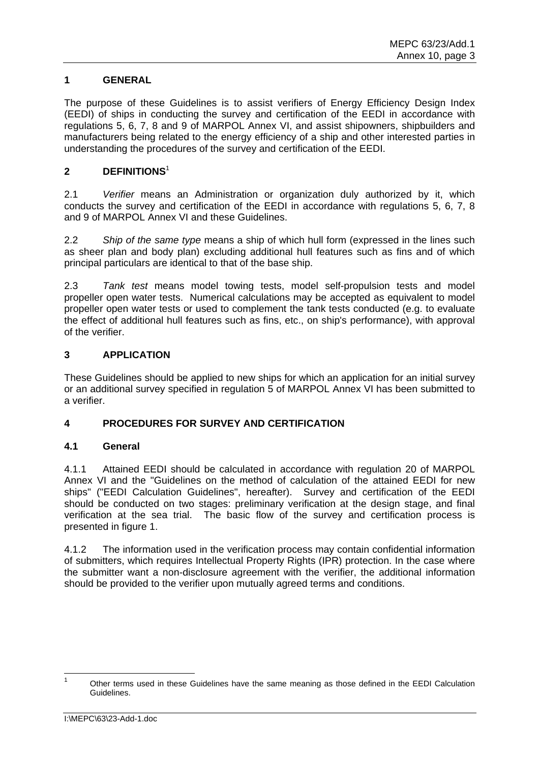## **1 GENERAL**

The purpose of these Guidelines is to assist verifiers of Energy Efficiency Design Index (EEDI) of ships in conducting the survey and certification of the EEDI in accordance with regulations 5, 6, 7, 8 and 9 of MARPOL Annex VI, and assist shipowners, shipbuilders and manufacturers being related to the energy efficiency of a ship and other interested parties in understanding the procedures of the survey and certification of the EEDI.

### **2 DEFINITIONS**<sup>1</sup>

2.1 *Verifier* means an Administration or organization duly authorized by it, which conducts the survey and certification of the EEDI in accordance with regulations 5, 6, 7, 8 and 9 of MARPOL Annex VI and these Guidelines.

2.2 *Ship of the same type* means a ship of which hull form (expressed in the lines such as sheer plan and body plan) excluding additional hull features such as fins and of which principal particulars are identical to that of the base ship.

2.3 *Tank test* means model towing tests, model self-propulsion tests and model propeller open water tests. Numerical calculations may be accepted as equivalent to model propeller open water tests or used to complement the tank tests conducted (e.g. to evaluate the effect of additional hull features such as fins, etc., on ship's performance), with approval of the verifier.

### **3 APPLICATION**

These Guidelines should be applied to new ships for which an application for an initial survey or an additional survey specified in regulation 5 of MARPOL Annex VI has been submitted to a verifier.

### **4 PROCEDURES FOR SURVEY AND CERTIFICATION**

### **4.1 General**

4.1.1 Attained EEDI should be calculated in accordance with regulation 20 of MARPOL Annex VI and the "Guidelines on the method of calculation of the attained EEDI for new ships" ("EEDI Calculation Guidelines", hereafter). Survey and certification of the EEDI should be conducted on two stages: preliminary verification at the design stage, and final verification at the sea trial. The basic flow of the survey and certification process is presented in figure 1.

4.1.2 The information used in the verification process may contain confidential information of submitters, which requires Intellectual Property Rights (IPR) protection. In the case where the submitter want a non-disclosure agreement with the verifier, the additional information should be provided to the verifier upon mutually agreed terms and conditions.

 $\frac{1}{1}$  Other terms used in these Guidelines have the same meaning as those defined in the EEDI Calculation Guidelines.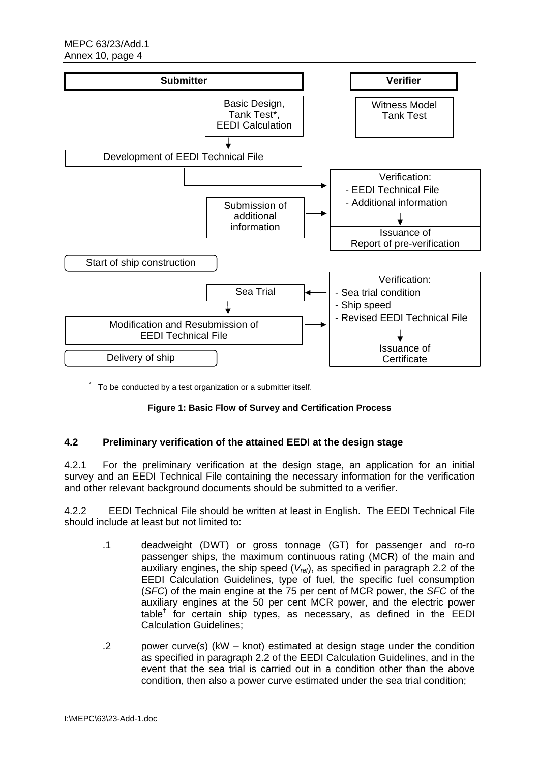

\* To be conducted by a test organization or a submitter itself.

### **Figure 1: Basic Flow of Survey and Certification Process**

### **4.2 Preliminary verification of the attained EEDI at the design stage**

4.2.1 For the preliminary verification at the design stage, an application for an initial survey and an EEDI Technical File containing the necessary information for the verification and other relevant background documents should be submitted to a verifier.

4.2.2 EEDI Technical File should be written at least in English. The EEDI Technical File should include at least but not limited to:

- .1 deadweight (DWT) or gross tonnage (GT) for passenger and ro-ro passenger ships, the maximum continuous rating (MCR) of the main and auxiliary engines, the ship speed (*Vref*), as specified in paragraph 2.2 of the EEDI Calculation Guidelines, type of fuel, the specific fuel consumption (*SFC*) of the main engine at the 75 per cent of MCR power, the *SFC* of the auxiliary engines at the 50 per cent MCR power, and the electric power table<sup>†</sup> for certain ship types, as necessary, as defined in the EEDI Calculation Guidelines;
- .2 power curve(s) (kW knot) estimated at design stage under the condition as specified in paragraph 2.2 of the EEDI Calculation Guidelines, and in the event that the sea trial is carried out in a condition other than the above condition, then also a power curve estimated under the sea trial condition;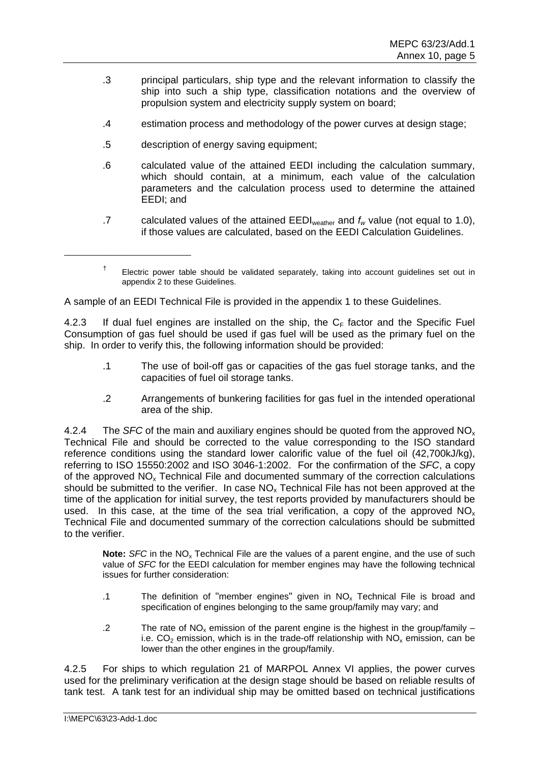- .3 principal particulars, ship type and the relevant information to classify the ship into such a ship type, classification notations and the overview of propulsion system and electricity supply system on board;
- .4 estimation process and methodology of the power curves at design stage;
- .5 description of energy saving equipment;

\_\_\_\_\_\_\_\_\_\_\_\_\_\_\_\_\_\_\_\_\_\_\_\_\_\_\_\_

- .6 calculated value of the attained EEDI including the calculation summary, which should contain, at a minimum, each value of the calculation parameters and the calculation process used to determine the attained EEDI; and
- .7 calculated values of the attained  $\text{EEDI}_{\text{weather}}$  and  $f_w$  value (not equal to 1.0), if those values are calculated, based on the EEDI Calculation Guidelines.

A sample of an EEDI Technical File is provided in the appendix 1 to these Guidelines.

4.2.3 If dual fuel engines are installed on the ship, the  $C_F$  factor and the Specific Fuel Consumption of gas fuel should be used if gas fuel will be used as the primary fuel on the ship. In order to verify this, the following information should be provided:

- .1 The use of boil-off gas or capacities of the gas fuel storage tanks, and the capacities of fuel oil storage tanks.
- .2 Arrangements of bunkering facilities for gas fuel in the intended operational area of the ship.

4.2.4 The *SFC* of the main and auxiliary engines should be quoted from the approved NOx Technical File and should be corrected to the value corresponding to the ISO standard reference conditions using the standard lower calorific value of the fuel oil (42,700kJ/kg), referring to ISO 15550:2002 and ISO 3046-1:2002. For the confirmation of the *SFC*, a copy of the approved  $NO<sub>x</sub>$  Technical File and documented summary of the correction calculations should be submitted to the verifier. In case  $NO<sub>x</sub>$  Technical File has not been approved at the time of the application for initial survey, the test reports provided by manufacturers should be used. In this case, at the time of the sea trial verification, a copy of the approved  $NO<sub>x</sub>$ Technical File and documented summary of the correction calculations should be submitted to the verifier.

**Note:** SFC in the NO<sub>x</sub> Technical File are the values of a parent engine, and the use of such value of *SFC* for the EEDI calculation for member engines may have the following technical issues for further consideration:

- .1 The definition of "member engines" given in  $NO<sub>x</sub>$  Technical File is broad and specification of engines belonging to the same group/family may vary; and
- .2 The rate of NO<sub>x</sub> emission of the parent engine is the highest in the group/family  $$ i.e.  $CO<sub>2</sub>$  emission, which is in the trade-off relationship with  $NO<sub>x</sub>$  emission, can be lower than the other engines in the group/family.

4.2.5 For ships to which regulation 21 of MARPOL Annex VI applies, the power curves used for the preliminary verification at the design stage should be based on reliable results of tank test. A tank test for an individual ship may be omitted based on technical justifications

 $<sup>†</sup>$  Electric power table should be validated separately, taking into account quidelines set out in</sup> appendix 2 to these Guidelines.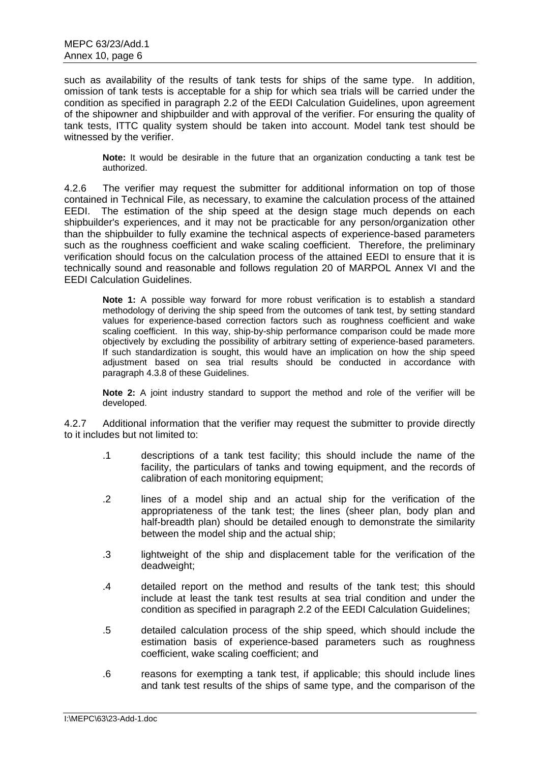such as availability of the results of tank tests for ships of the same type. In addition, omission of tank tests is acceptable for a ship for which sea trials will be carried under the condition as specified in paragraph 2.2 of the EEDI Calculation Guidelines, upon agreement of the shipowner and shipbuilder and with approval of the verifier. For ensuring the quality of tank tests, ITTC quality system should be taken into account. Model tank test should be witnessed by the verifier.

**Note:** It would be desirable in the future that an organization conducting a tank test be authorized.

4.2.6 The verifier may request the submitter for additional information on top of those contained in Technical File, as necessary, to examine the calculation process of the attained EEDI. The estimation of the ship speed at the design stage much depends on each shipbuilder's experiences, and it may not be practicable for any person/organization other than the shipbuilder to fully examine the technical aspects of experience-based parameters such as the roughness coefficient and wake scaling coefficient. Therefore, the preliminary verification should focus on the calculation process of the attained EEDI to ensure that it is technically sound and reasonable and follows regulation 20 of MARPOL Annex VI and the EEDI Calculation Guidelines.

**Note 1:** A possible way forward for more robust verification is to establish a standard methodology of deriving the ship speed from the outcomes of tank test, by setting standard values for experience-based correction factors such as roughness coefficient and wake scaling coefficient. In this way, ship-by-ship performance comparison could be made more objectively by excluding the possibility of arbitrary setting of experience-based parameters. If such standardization is sought, this would have an implication on how the ship speed adjustment based on sea trial results should be conducted in accordance with paragraph 4.3.8 of these Guidelines.

**Note 2:** A joint industry standard to support the method and role of the verifier will be developed.

4.2.7 Additional information that the verifier may request the submitter to provide directly to it includes but not limited to:

- .1 descriptions of a tank test facility; this should include the name of the facility, the particulars of tanks and towing equipment, and the records of calibration of each monitoring equipment;
- .2 lines of a model ship and an actual ship for the verification of the appropriateness of the tank test; the lines (sheer plan, body plan and half-breadth plan) should be detailed enough to demonstrate the similarity between the model ship and the actual ship;
- .3 lightweight of the ship and displacement table for the verification of the deadweight;
- .4 detailed report on the method and results of the tank test; this should include at least the tank test results at sea trial condition and under the condition as specified in paragraph 2.2 of the EEDI Calculation Guidelines;
- .5 detailed calculation process of the ship speed, which should include the estimation basis of experience-based parameters such as roughness coefficient, wake scaling coefficient; and
- .6 reasons for exempting a tank test, if applicable; this should include lines and tank test results of the ships of same type, and the comparison of the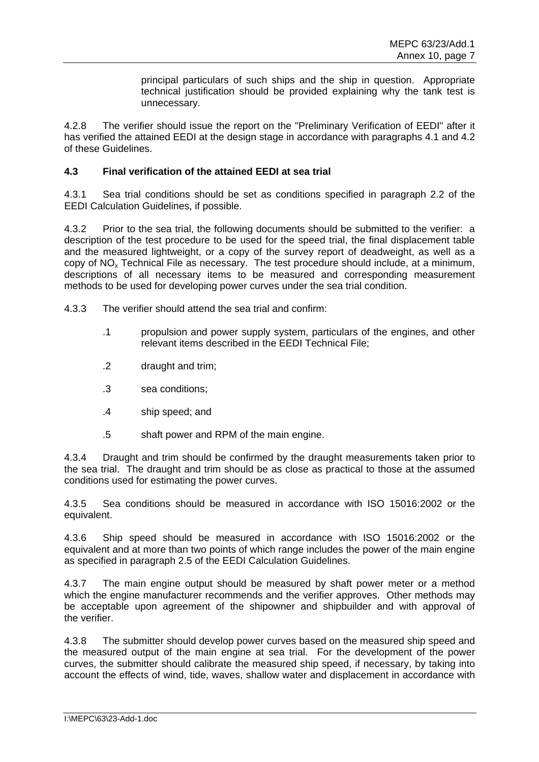principal particulars of such ships and the ship in question. Appropriate technical justification should be provided explaining why the tank test is unnecessary.

4.2.8 The verifier should issue the report on the "Preliminary Verification of EEDI" after it has verified the attained EEDI at the design stage in accordance with paragraphs 4.1 and 4.2 of these Guidelines.

## **4.3 Final verification of the attained EEDI at sea trial**

4.3.1 Sea trial conditions should be set as conditions specified in paragraph 2.2 of the EEDI Calculation Guidelines, if possible.

4.3.2 Prior to the sea trial, the following documents should be submitted to the verifier: a description of the test procedure to be used for the speed trial, the final displacement table and the measured lightweight, or a copy of the survey report of deadweight, as well as a copy of  $NO<sub>x</sub>$  Technical File as necessary. The test procedure should include, at a minimum, descriptions of all necessary items to be measured and corresponding measurement methods to be used for developing power curves under the sea trial condition.

- 4.3.3 The verifier should attend the sea trial and confirm:
	- .1 propulsion and power supply system, particulars of the engines, and other relevant items described in the EEDI Technical File;
	- .2 draught and trim;
	- .3 sea conditions;
	- .4 ship speed; and
	- .5 shaft power and RPM of the main engine.

4.3.4 Draught and trim should be confirmed by the draught measurements taken prior to the sea trial. The draught and trim should be as close as practical to those at the assumed conditions used for estimating the power curves.

4.3.5 Sea conditions should be measured in accordance with ISO 15016:2002 or the equivalent.

4.3.6 Ship speed should be measured in accordance with ISO 15016:2002 or the equivalent and at more than two points of which range includes the power of the main engine as specified in paragraph 2.5 of the EEDI Calculation Guidelines.

4.3.7 The main engine output should be measured by shaft power meter or a method which the engine manufacturer recommends and the verifier approves. Other methods may be acceptable upon agreement of the shipowner and shipbuilder and with approval of the verifier.

4.3.8 The submitter should develop power curves based on the measured ship speed and the measured output of the main engine at sea trial. For the development of the power curves, the submitter should calibrate the measured ship speed, if necessary, by taking into account the effects of wind, tide, waves, shallow water and displacement in accordance with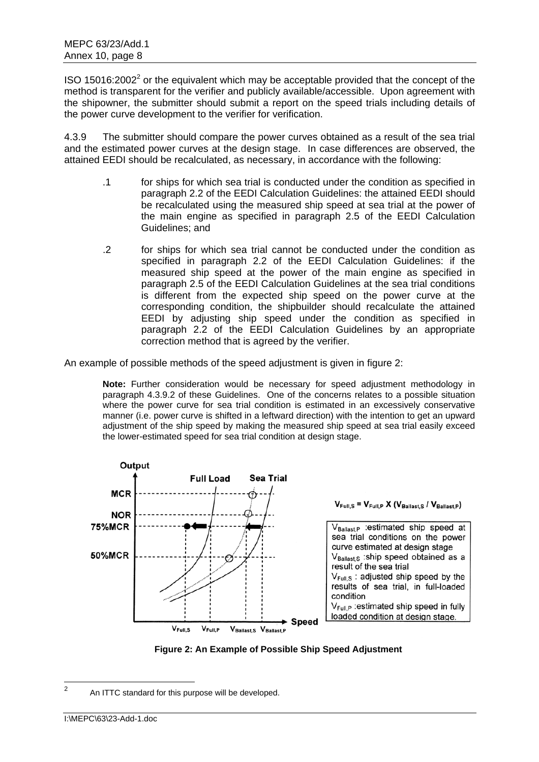ISO 15016:2002<sup>2</sup> or the equivalent which may be acceptable provided that the concept of the method is transparent for the verifier and publicly available/accessible. Upon agreement with the shipowner, the submitter should submit a report on the speed trials including details of the power curve development to the verifier for verification.

4.3.9 The submitter should compare the power curves obtained as a result of the sea trial and the estimated power curves at the design stage. In case differences are observed, the attained EEDI should be recalculated, as necessary, in accordance with the following:

- .1 for ships for which sea trial is conducted under the condition as specified in paragraph 2.2 of the EEDI Calculation Guidelines: the attained EEDI should be recalculated using the measured ship speed at sea trial at the power of the main engine as specified in paragraph 2.5 of the EEDI Calculation Guidelines; and
- .2 for ships for which sea trial cannot be conducted under the condition as specified in paragraph 2.2 of the EEDI Calculation Guidelines: if the measured ship speed at the power of the main engine as specified in paragraph 2.5 of the EEDI Calculation Guidelines at the sea trial conditions is different from the expected ship speed on the power curve at the corresponding condition, the shipbuilder should recalculate the attained EEDI by adjusting ship speed under the condition as specified in paragraph 2.2 of the EEDI Calculation Guidelines by an appropriate correction method that is agreed by the verifier.

An example of possible methods of the speed adjustment is given in figure 2:

**Note:** Further consideration would be necessary for speed adjustment methodology in paragraph 4.3.9.2 of these Guidelines. One of the concerns relates to a possible situation where the power curve for sea trial condition is estimated in an excessively conservative manner (i.e. power curve is shifted in a leftward direction) with the intention to get an upward adjustment of the ship speed by making the measured ship speed at sea trial easily exceed the lower-estimated speed for sea trial condition at design stage.





 $\frac{1}{2}$ An ITTC standard for this purpose will be developed.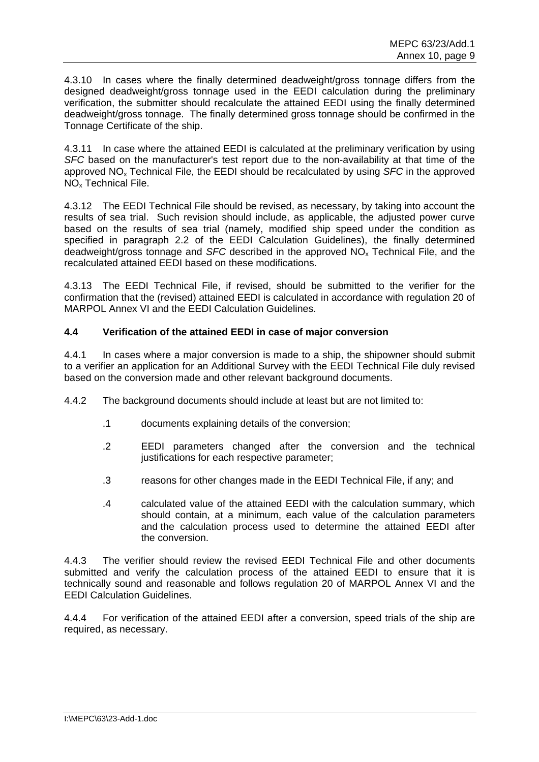4.3.10 In cases where the finally determined deadweight/gross tonnage differs from the designed deadweight/gross tonnage used in the EEDI calculation during the preliminary verification, the submitter should recalculate the attained EEDI using the finally determined deadweight/gross tonnage. The finally determined gross tonnage should be confirmed in the Tonnage Certificate of the ship.

4.3.11 In case where the attained EEDI is calculated at the preliminary verification by using *SFC* based on the manufacturer's test report due to the non-availability at that time of the approved NOx Technical File, the EEDI should be recalculated by using *SFC* in the approved NOx Technical File.

4.3.12 The EEDI Technical File should be revised, as necessary, by taking into account the results of sea trial. Such revision should include, as applicable, the adjusted power curve based on the results of sea trial (namely, modified ship speed under the condition as specified in paragraph 2.2 of the EEDI Calculation Guidelines), the finally determined deadweight/gross tonnage and *SFC* described in the approved NO<sub>x</sub> Technical File, and the recalculated attained EEDI based on these modifications.

4.3.13 The EEDI Technical File, if revised, should be submitted to the verifier for the confirmation that the (revised) attained EEDI is calculated in accordance with regulation 20 of MARPOL Annex VI and the EEDI Calculation Guidelines.

## **4.4 Verification of the attained EEDI in case of major conversion**

4.4.1 In cases where a major conversion is made to a ship, the shipowner should submit to a verifier an application for an Additional Survey with the EEDI Technical File duly revised based on the conversion made and other relevant background documents.

4.4.2 The background documents should include at least but are not limited to:

- .1 documents explaining details of the conversion;
- .2 EEDI parameters changed after the conversion and the technical justifications for each respective parameter;
- .3 reasons for other changes made in the EEDI Technical File, if any; and
- .4 calculated value of the attained EEDI with the calculation summary, which should contain, at a minimum, each value of the calculation parameters and the calculation process used to determine the attained EEDI after the conversion.

4.4.3 The verifier should review the revised EEDI Technical File and other documents submitted and verify the calculation process of the attained EEDI to ensure that it is technically sound and reasonable and follows regulation 20 of MARPOL Annex VI and the EEDI Calculation Guidelines.

4.4.4 For verification of the attained EEDI after a conversion, speed trials of the ship are required, as necessary.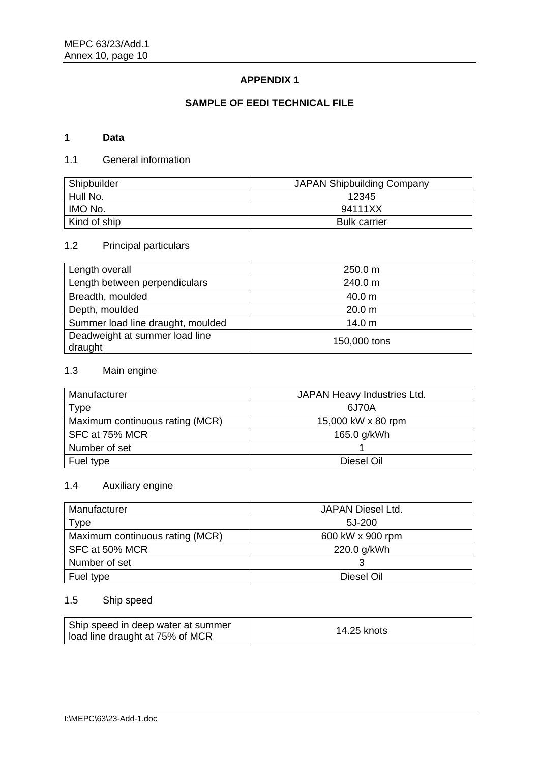## **APPENDIX 1**

## **SAMPLE OF EEDI TECHNICAL FILE**

## **1 Data**

## 1.1 General information

| Shipbuilder  | <b>JAPAN Shipbuilding Company</b> |
|--------------|-----------------------------------|
| Hull No.     | 12345                             |
| IMO No.      | 94111XX                           |
| Kind of ship | <b>Bulk carrier</b>               |

# 1.2 Principal particulars

| Length overall                            | 250.0 m      |
|-------------------------------------------|--------------|
| Length between perpendiculars             | 240.0 m      |
| Breadth, moulded                          | 40.0 m       |
| Depth, moulded                            | 20.0 m       |
| Summer load line draught, moulded         | 14.0 m       |
| Deadweight at summer load line<br>draught | 150,000 tons |

## 1.3 Main engine

| Manufacturer                    | JAPAN Heavy Industries Ltd. |
|---------------------------------|-----------------------------|
| Type                            | 6J70A                       |
| Maximum continuous rating (MCR) | 15,000 kW x 80 rpm          |
| SFC at 75% MCR                  | 165.0 g/kWh                 |
| Number of set                   |                             |
| Fuel type                       | Diesel Oil                  |

# 1.4 Auxiliary engine

| Manufacturer                    | JAPAN Diesel Ltd. |
|---------------------------------|-------------------|
| Type                            | 5J-200            |
| Maximum continuous rating (MCR) | 600 kW x 900 rpm  |
| SFC at 50% MCR                  | 220.0 g/kWh       |
| Number of set                   |                   |
| Fuel type                       | Diesel Oil        |

## 1.5 Ship speed

| Ship speed in deep water at summer | 14.25 knots |
|------------------------------------|-------------|
| load line draught at 75% of MCR    |             |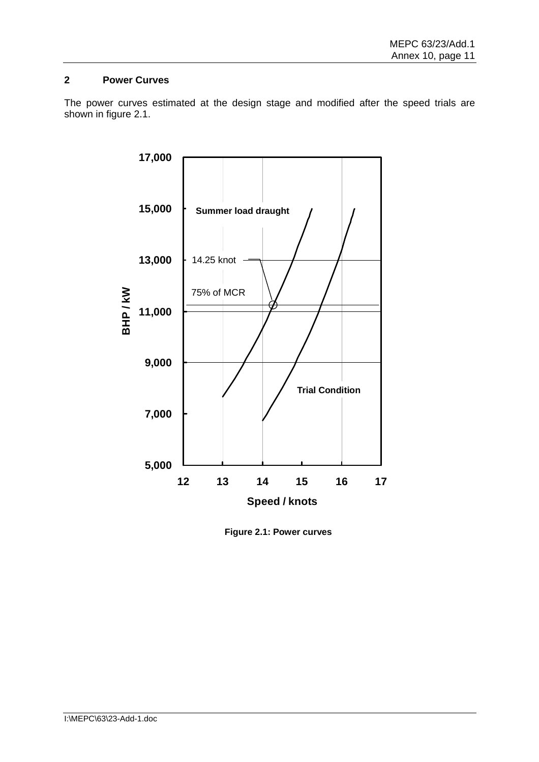## **2 Power Curves**

The power curves estimated at the design stage and modified after the speed trials are shown in figure 2.1.



**Figure 2.1: Power curves**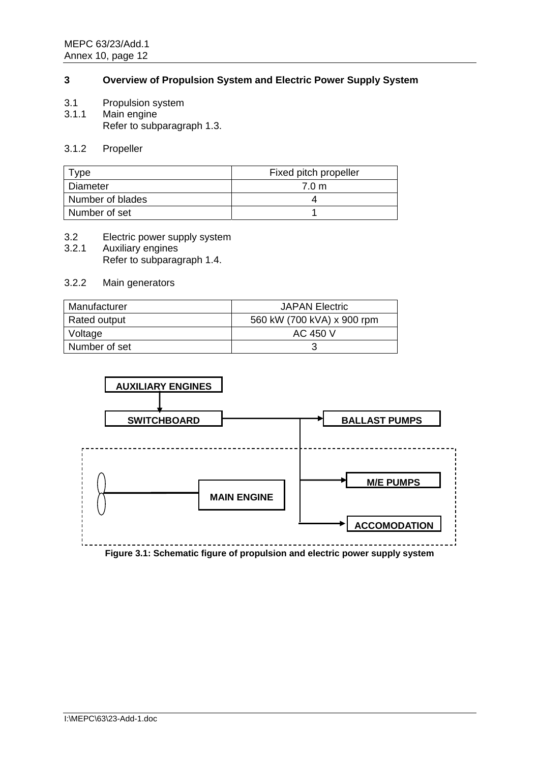## **3 Overview of Propulsion System and Electric Power Supply System**

- 3.1 Propulsion system
- 3.1.1 Main engine Refer to subparagraph 1.3.

#### 3.1.2 Propeller

| vpe              | Fixed pitch propeller |
|------------------|-----------------------|
| Diameter         | 7.0 <sub>m</sub>      |
| Number of blades |                       |
| Number of set    |                       |

#### 3.2 Electric power supply system

3.2.1 Auxiliary engines Refer to subparagraph 1.4.

## 3.2.2 Main generators

| Manufacturer  | <b>JAPAN Electric</b>      |
|---------------|----------------------------|
| Rated output  | 560 kW (700 kVA) x 900 rpm |
| Voltage       | AC 450 V                   |
| Number of set |                            |



I:\MEPC\63\23-Add-1.doc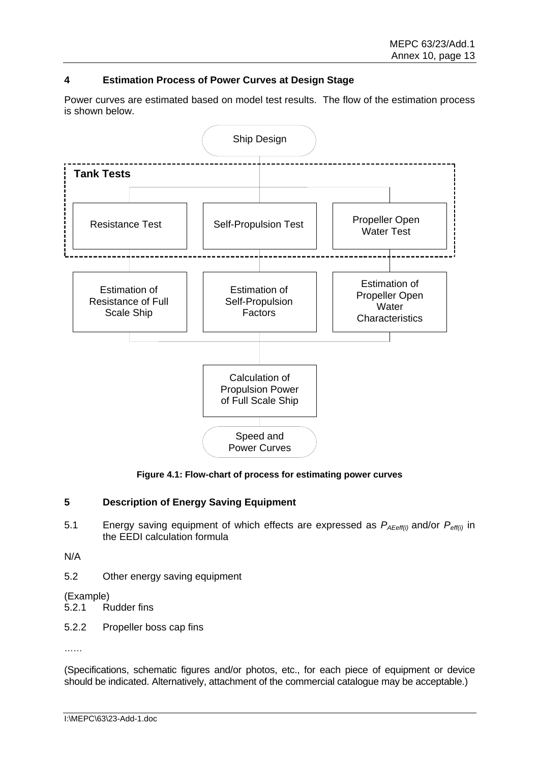## **4 Estimation Process of Power Curves at Design Stage**

Power curves are estimated based on model test results. The flow of the estimation process is shown below.



**Figure 4.1: Flow-chart of process for estimating power curves** 

### **5 Description of Energy Saving Equipment**

5.1 Energy saving equipment of which effects are expressed as *PAEeff(i)* and/or *Peff(i)* in the EEDI calculation formula

N/A

5.2 Other energy saving equipment

(Example)

- 5.2.1 Rudder fins
- 5.2.2 Propeller boss cap fins

……

(Specifications, schematic figures and/or photos, etc., for each piece of equipment or device should be indicated. Alternatively, attachment of the commercial catalogue may be acceptable.)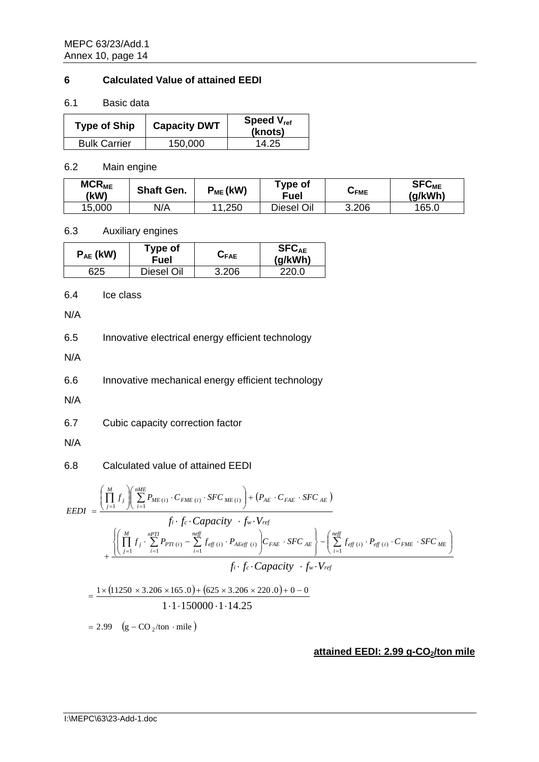### **6 Calculated Value of attained EEDI**

6.1 Basic data

| <b>Type of Ship</b> | <b>Capacity DWT</b> | Speed V <sub>ref</sub><br>(knots) |
|---------------------|---------------------|-----------------------------------|
| <b>Bulk Carrier</b> | 150,000             | 14.25                             |

6.2 Main engine

| <b>MCR<sub>ME</sub></b><br>(kW) | <b>Shaft Gen.</b> | $P_{ME}$ (kW) | Type of<br>Fuel   | ∪ғме  | <b>SFC<sub>ME</sub></b><br>(q/kWh) |
|---------------------------------|-------------------|---------------|-------------------|-------|------------------------------------|
| 15,000                          | N/A               | 1,250<br>11   | <b>Diesel Oil</b> | 3.206 | 165.0                              |

#### 6.3 Auxiliary engines

| $P_{AE}$ (kW) | Type of<br>Fuel | $G_{\mathsf{FAE}}$ | <b>SFC<sub>AE</sub></b><br>(g/kWh) |
|---------------|-----------------|--------------------|------------------------------------|
| 625           | Diesel Oil      | 3.206              | 220.0                              |

6.4 Ice class

N/A

6.5 Innovative electrical energy efficient technology

N/A

6.6 Innovative mechanical energy efficient technology

N/A

6.7 Cubic capacity correction factor

N/A

### 6.8 Calculated value of attained EEDI

$$
EEDI = \frac{\left(\prod_{j=1}^{M} f_{j}\right)\left(\sum_{i=1}^{MHE} P_{ME(i)} \cdot C_{FME(i)} \cdot SFC_{ME(i)}\right) + \left(P_{AE} \cdot C_{FAE} \cdot SFC_{AE}\right)}{f_{i} \cdot f_{c} \cdot Capacity \cdot f_{w} \cdot V_{ref}} + \frac{\left\{\left(\prod_{j=1}^{M} f_{j} \cdot \sum_{i=1}^{nPT} P_{PTI(i)} - \sum_{i=1}^{neff} f_{eff(i)} \cdot P_{AEeff(i)}\right) C_{FAE} \cdot SFC_{AE}\right\} - \left(\sum_{i=1}^{neff} f_{eff(i)} \cdot P_{eff(i)} \cdot C_{FME} \cdot SFC_{ME}\right)}{f_{i} \cdot f_{c} \cdot Capacity \cdot f_{w} \cdot V_{ref}}
$$

$$
= \frac{1 \times (11250 \times 3.206 \times 165.0) + (625 \times 3.206 \times 220.0) + 0 - 0}{1 \cdot 1 \cdot 150000 \cdot 1 \cdot 14.25}
$$

$$
= 2.99 \quad (g - CO_{2}/\text{ton} \cdot \text{mile})
$$

#### **attained EEDI: 2.99 g-CO<sub>2</sub>/ton mile**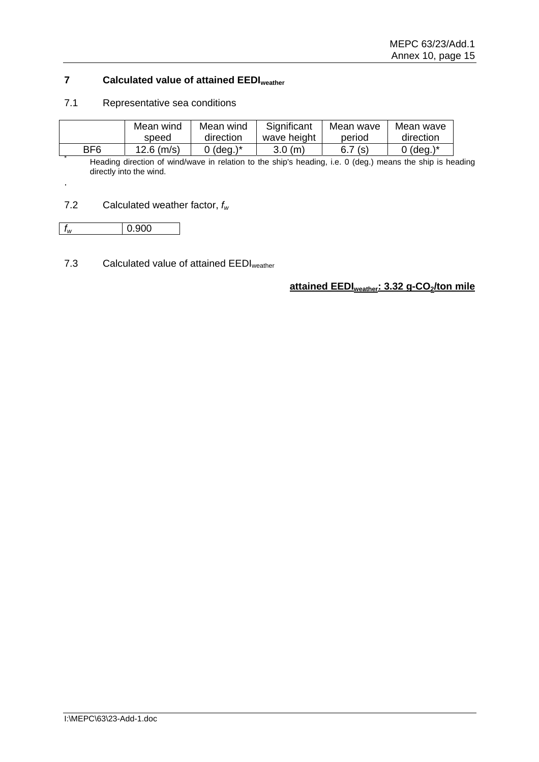## **7 Calculated value of attained EEDIweather**

#### 7.1 Representative sea conditions

|                 | Mean wind    | Mean wind    | Significant | Mean wave | Mean wave                                                                                                 |
|-----------------|--------------|--------------|-------------|-----------|-----------------------------------------------------------------------------------------------------------|
|                 | speed        | direction    | wave height | period    | direction                                                                                                 |
| BF <sub>6</sub> | $12.6$ (m/s) | 0 (deg.) $*$ | 3.0(m)      | 6.7(s)    | 0 (deg.) $*$                                                                                              |
|                 |              |              |             |           | Heading direction of wind/wave in relation to the ship's heading, i.e. 0 (deg.) means the ship is heading |

directly into the wind.

### 7.2 Calculated weather factor, *fw*

| W |
|---|
|---|

.

## 7.3 Calculated value of attained EEDI<sub>weather</sub>

attained EEDI<sub>weather</sub>: 3.32 g-CO<sub>2</sub>/ton mile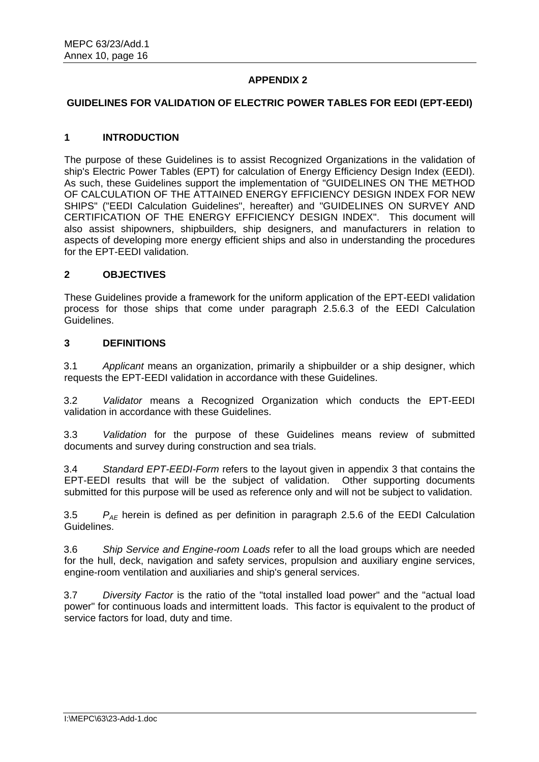## **APPENDIX 2**

#### **GUIDELINES FOR VALIDATION OF ELECTRIC POWER TABLES FOR EEDI (EPT-EEDI)**

#### **1 INTRODUCTION**

The purpose of these Guidelines is to assist Recognized Organizations in the validation of ship's Electric Power Tables (EPT) for calculation of Energy Efficiency Design Index (EEDI). As such, these Guidelines support the implementation of "GUIDELINES ON THE METHOD OF CALCULATION OF THE ATTAINED ENERGY EFFICIENCY DESIGN INDEX FOR NEW SHIPS" ("EEDI Calculation Guidelines", hereafter) and "GUIDELINES ON SURVEY AND CERTIFICATION OF THE ENERGY EFFICIENCY DESIGN INDEX". This document will also assist shipowners, shipbuilders, ship designers, and manufacturers in relation to aspects of developing more energy efficient ships and also in understanding the procedures for the EPT-EEDI validation.

#### **2 OBJECTIVES**

These Guidelines provide a framework for the uniform application of the EPT-EEDI validation process for those ships that come under paragraph 2.5.6.3 of the EEDI Calculation Guidelines.

#### **3 DEFINITIONS**

3.1 *Applicant* means an organization, primarily a shipbuilder or a ship designer, which requests the EPT-EEDI validation in accordance with these Guidelines.

3.2 *Validator* means a Recognized Organization which conducts the EPT-EEDI validation in accordance with these Guidelines.

3.3 *Validation* for the purpose of these Guidelines means review of submitted documents and survey during construction and sea trials.

3.4 *Standard EPT-EEDI-Form* refers to the layout given in appendix 3 that contains the EPT-EEDI results that will be the subject of validation. Other supporting documents submitted for this purpose will be used as reference only and will not be subject to validation.

3.5 *PAE* herein is defined as per definition in paragraph 2.5.6 of the EEDI Calculation Guidelines.

3.6 *Ship Service and Engine-room Loads* refer to all the load groups which are needed for the hull, deck, navigation and safety services, propulsion and auxiliary engine services, engine-room ventilation and auxiliaries and ship's general services.

3.7 *Diversity Factor* is the ratio of the "total installed load power" and the "actual load power" for continuous loads and intermittent loads. This factor is equivalent to the product of service factors for load, duty and time.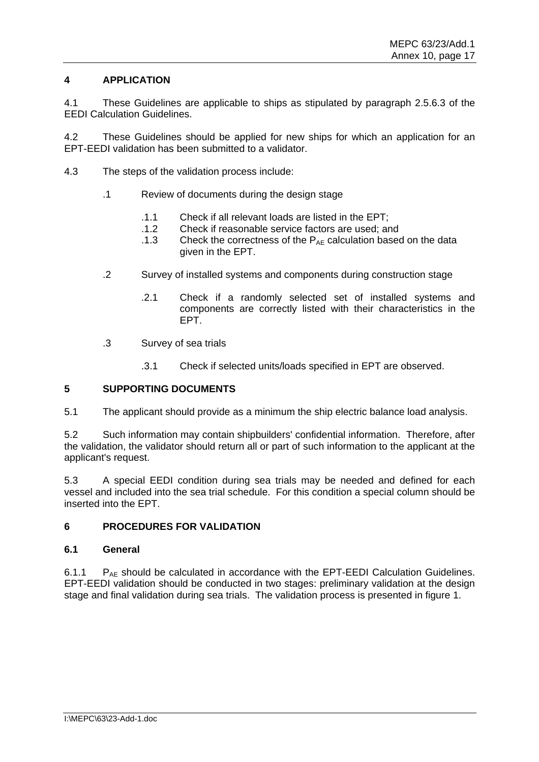## **4 APPLICATION**

4.1 These Guidelines are applicable to ships as stipulated by paragraph 2.5.6.3 of the EEDI Calculation Guidelines.

4.2 These Guidelines should be applied for new ships for which an application for an EPT-EEDI validation has been submitted to a validator.

- 4.3 The steps of the validation process include:
	- .1 Review of documents during the design stage
		- .1.1 Check if all relevant loads are listed in the EPT;
		- .1.2 Check if reasonable service factors are used; and
		- .1.3 Check the correctness of the  $P_{AE}$  calculation based on the data given in the EPT.
	- .2 Survey of installed systems and components during construction stage
		- .2.1 Check if a randomly selected set of installed systems and components are correctly listed with their characteristics in the EPT.
	- .3 Survey of sea trials
		- .3.1 Check if selected units/loads specified in EPT are observed.

#### **5 SUPPORTING DOCUMENTS**

5.1 The applicant should provide as a minimum the ship electric balance load analysis.

5.2 Such information may contain shipbuilders' confidential information. Therefore, after the validation, the validator should return all or part of such information to the applicant at the applicant's request.

5.3 A special EEDI condition during sea trials may be needed and defined for each vessel and included into the sea trial schedule. For this condition a special column should be inserted into the EPT.

### **6 PROCEDURES FOR VALIDATION**

#### **6.1 General**

6.1.1  $P_{AF}$  should be calculated in accordance with the EPT-EEDI Calculation Guidelines. EPT-EEDI validation should be conducted in two stages: preliminary validation at the design stage and final validation during sea trials. The validation process is presented in figure 1.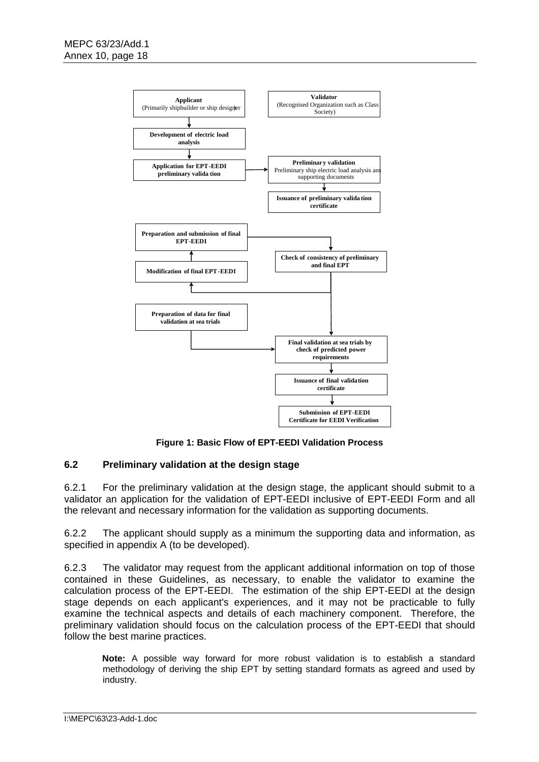

**Figure 1: Basic Flow of EPT-EEDI Validation Process** 

### **6.2 Preliminary validation at the design stage**

6.2.1 For the preliminary validation at the design stage, the applicant should submit to a validator an application for the validation of EPT-EEDI inclusive of EPT-EEDI Form and all the relevant and necessary information for the validation as supporting documents.

6.2.2 The applicant should supply as a minimum the supporting data and information, as specified in appendix A (to be developed).

6.2.3 The validator may request from the applicant additional information on top of those contained in these Guidelines, as necessary, to enable the validator to examine the calculation process of the EPT-EEDI. The estimation of the ship EPT-EEDI at the design stage depends on each applicant's experiences, and it may not be practicable to fully examine the technical aspects and details of each machinery component. Therefore, the preliminary validation should focus on the calculation process of the EPT-EEDI that should follow the best marine practices.

**Note:** A possible way forward for more robust validation is to establish a standard methodology of deriving the ship EPT by setting standard formats as agreed and used by industry.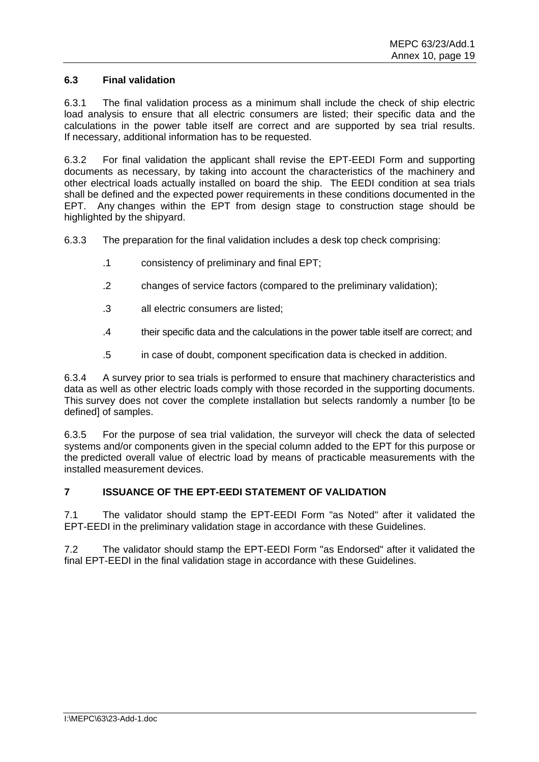## **6.3 Final validation**

6.3.1 The final validation process as a minimum shall include the check of ship electric load analysis to ensure that all electric consumers are listed; their specific data and the calculations in the power table itself are correct and are supported by sea trial results. If necessary, additional information has to be requested.

6.3.2 For final validation the applicant shall revise the EPT-EEDI Form and supporting documents as necessary, by taking into account the characteristics of the machinery and other electrical loads actually installed on board the ship. The EEDI condition at sea trials shall be defined and the expected power requirements in these conditions documented in the EPT. Any changes within the EPT from design stage to construction stage should be highlighted by the shipyard.

6.3.3 The preparation for the final validation includes a desk top check comprising:

- .1 consistency of preliminary and final EPT;
- .2 changes of service factors (compared to the preliminary validation);
- .3 all electric consumers are listed;
- .4 their specific data and the calculations in the power table itself are correct; and
- .5 in case of doubt, component specification data is checked in addition.

6.3.4 A survey prior to sea trials is performed to ensure that machinery characteristics and data as well as other electric loads comply with those recorded in the supporting documents. This survey does not cover the complete installation but selects randomly a number [to be defined] of samples.

6.3.5 For the purpose of sea trial validation, the surveyor will check the data of selected systems and/or components given in the special column added to the EPT for this purpose or the predicted overall value of electric load by means of practicable measurements with the installed measurement devices.

## **7 ISSUANCE OF THE EPT-EEDI STATEMENT OF VALIDATION**

7.1 The validator should stamp the EPT-EEDI Form "as Noted" after it validated the EPT-EEDI in the preliminary validation stage in accordance with these Guidelines.

7.2 The validator should stamp the EPT-EEDI Form "as Endorsed" after it validated the final EPT-EEDI in the final validation stage in accordance with these Guidelines.